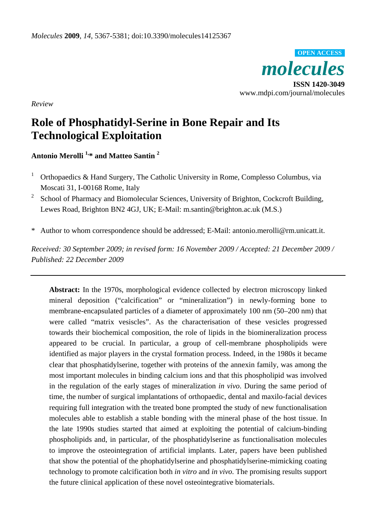

*Review* 

# **Role of Phosphatidyl-Serine in Bone Repair and Its Technological Exploitation**

**Antonio Merolli 1,\* and Matteo Santin 2**

- 1 Orthopaedics & Hand Surgery, The Catholic University in Rome, Complesso Columbus, via Moscati 31, I-00168 Rome, Italy
- 2 School of Pharmacy and Biomolecular Sciences, University of Brighton, Cockcroft Building, Lewes Road, Brighton BN2 4GJ, UK; E-Mail: m.santin@brighton.ac.uk (M.S.)
- \* Author to whom correspondence should be addressed; E-Mail: antonio.merolli@rm.unicatt.it.

*Received: 30 September 2009; in revised form: 16 November 2009 / Accepted: 21 December 2009 / Published: 22 December 2009* 

**Abstract:** In the 1970s, morphological evidence collected by electron microscopy linked mineral deposition ("calcification" or "mineralization") in newly-forming bone to membrane-encapsulated particles of a diameter of approximately 100 nm (50–200 nm) that were called "matrix vesiscles". As the characterisation of these vesicles progressed towards their biochemical composition, the role of lipids in the biomineralization process appeared to be crucial. In particular, a group of cell-membrane phospholipids were identified as major players in the crystal formation process. Indeed, in the 1980s it became clear that phosphatidylserine, together with proteins of the annexin family, was among the most important molecules in binding calcium ions and that this phospholipid was involved in the regulation of the early stages of mineralization *in vivo*. During the same period of time, the number of surgical implantations of orthopaedic, dental and maxilo-facial devices requiring full integration with the treated bone prompted the study of new functionalisation molecules able to establish a stable bonding with the mineral phase of the host tissue. In the late 1990s studies started that aimed at exploiting the potential of calcium-binding phospholipids and, in particular, of the phosphatidylserine as functionalisation molecules to improve the osteointegration of artificial implants. Later, papers have been published that show the potential of the phophatidylserine and phosphatidylserine-mimicking coating technology to promote calcification both *in vitro* and *in vivo*. The promising results support the future clinical application of these novel osteointegrative biomaterials.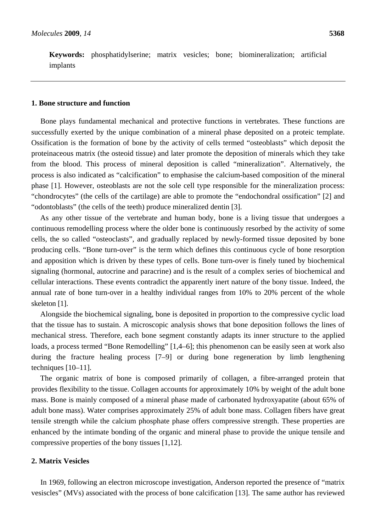**Keywords:** phosphatidylserine; matrix vesicles; bone; biomineralization; artificial implants

### **1. Bone structure and function**

Bone plays fundamental mechanical and protective functions in vertebrates. These functions are successfully exerted by the unique combination of a mineral phase deposited on a proteic template. Ossification is the formation of bone by the activity of cells termed "osteoblasts" which deposit the proteinaceous matrix (the osteoid tissue) and later promote the deposition of minerals which they take from the blood. This process of mineral deposition is called "mineralization". Alternatively, the process is also indicated as "calcification" to emphasise the calcium-based composition of the mineral phase [1]. However, osteoblasts are not the sole cell type responsible for the mineralization process: "chondrocytes" (the cells of the cartilage) are able to promote the "endochondral ossification" [2] and "odontoblasts" (the cells of the teeth) produce mineralized dentin [3].

As any other tissue of the vertebrate and human body, bone is a living tissue that undergoes a continuous remodelling process where the older bone is continuously resorbed by the activity of some cells, the so called "osteoclasts", and gradually replaced by newly-formed tissue deposited by bone producing cells. "Bone turn-over" is the term which defines this continuous cycle of bone resorption and apposition which is driven by these types of cells. Bone turn-over is finely tuned by biochemical signaling (hormonal, autocrine and paracrine) and is the result of a complex series of biochemical and cellular interactions. These events contradict the apparently inert nature of the bony tissue. Indeed, the annual rate of bone turn-over in a healthy individual ranges from 10% to 20% percent of the whole skeleton [1].

Alongside the biochemical signaling, bone is deposited in proportion to the compressive cyclic load that the tissue has to sustain. A microscopic analysis shows that bone deposition follows the lines of mechanical stress. Therefore, each bone segment constantly adapts its inner structure to the applied loads, a process termed "Bone Remodelling" [1,4–6]; this phenomenon can be easily seen at work also during the fracture healing process [7–9] or during bone regeneration by limb lengthening techniques [10–11].

The organic matrix of bone is composed primarily of collagen, a fibre-arranged protein that provides flexibility to the tissue. Collagen accounts for approximately 10% by weight of the adult bone mass. Bone is mainly composed of a mineral phase made of carbonated hydroxyapatite (about 65% of adult bone mass). Water comprises approximately 25% of adult bone mass. Collagen fibers have great tensile strength while the calcium phosphate phase offers compressive strength. These properties are enhanced by the intimate bonding of the organic and mineral phase to provide the unique tensile and compressive properties of the bony tissues [1,12].

# **2. Matrix Vesicles**

In 1969, following an electron microscope investigation, Anderson reported the presence of "matrix vesiscles" (MVs) associated with the process of bone calcification [13]. The same author has reviewed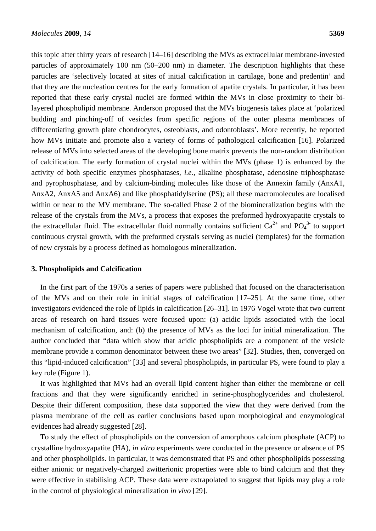this topic after thirty years of research [14–16] describing the MVs as extracellular membrane-invested particles of approximately 100 nm (50–200 nm) in diameter. The description highlights that these particles are 'selectively located at sites of initial calcification in cartilage, bone and predentin' and that they are the nucleation centres for the early formation of apatite crystals. In particular, it has been reported that these early crystal nuclei are formed within the MVs in close proximity to their bilayered phospholipid membrane. Anderson proposed that the MVs biogenesis takes place at 'polarized budding and pinching-off of vesicles from specific regions of the outer plasma membranes of differentiating growth plate chondrocytes, osteoblasts, and odontoblasts'. More recently, he reported how MVs initiate and promote also a variety of forms of pathological calcification [16]. Polarized release of MVs into selected areas of the developing bone matrix prevents the non-random distribution of calcification. The early formation of crystal nuclei within the MVs (phase 1) is enhanced by the activity of both specific enzymes phosphatases, *i.e.,* alkaline phosphatase, adenosine triphosphatase and pyrophosphatase, and by calcium-binding molecules like those of the Annexin family (AnxA1, AnxA2, AnxA5 and AnxA6) and like phosphatidylserine (PS); all these macromolecules are localised within or near to the MV membrane. The so-called Phase 2 of the biomineralization begins with the release of the crystals from the MVs, a process that exposes the preformed hydroxyapatite crystals to the extracellular fluid. The extracellular fluid normally contains sufficient  $Ca^{2+}$  and  $PO<sub>4</sub><sup>3-</sup>$  to support continuous crystal growth, with the preformed crystals serving as nuclei (templates) for the formation of new crystals by a process defined as homologous mineralization.

## **3. Phospholipids and Calcification**

In the first part of the 1970s a series of papers were published that focused on the characterisation of the MVs and on their role in initial stages of calcification [17–25]. At the same time, other investigators evidenced the role of lipids in calcification [26–31]. In 1976 Vogel wrote that two current areas of research on hard tissues were focused upon: (a) acidic lipids associated with the local mechanism of calcification, and: (b) the presence of MVs as the loci for initial mineralization. The author concluded that "data which show that acidic phospholipids are a component of the vesicle membrane provide a common denominator between these two areas" [32]. Studies, then, converged on this "lipid-induced calcification" [33] and several phospholipids, in particular PS, were found to play a key role (Figure 1).

It was highlighted that MVs had an overall lipid content higher than either the membrane or cell fractions and that they were significantly enriched in serine-phosphoglycerides and cholesterol. Despite their different composition, these data supported the view that they were derived from the plasma membrane of the cell as earlier conclusions based upon morphological and enzymological evidences had already suggested [28].

To study the effect of phospholipids on the conversion of amorphous calcium phosphate (ACP) to crystalline hydroxyapatite (HA), *in vitro* experiments were conducted in the presence or absence of PS and other phospholipids. In particular, it was demonstrated that PS and other phospholipids possessing either anionic or negatively-charged zwitterionic properties were able to bind calcium and that they were effective in stabilising ACP. These data were extrapolated to suggest that lipids may play a role in the control of physiological mineralization *in vivo* [29].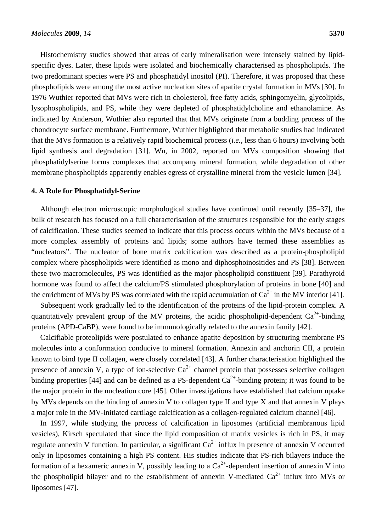Histochemistry studies showed that areas of early mineralisation were intensely stained by lipidspecific dyes. Later, these lipids were isolated and biochemically characterised as phospholipids. The two predominant species were PS and phosphatidyl inositol (PI). Therefore, it was proposed that these phospholipids were among the most active nucleation sites of apatite crystal formation in MVs [30]. In 1976 Wuthier reported that MVs were rich in cholesterol, free fatty acids, sphingomyelin, glycolipids, lysophospholipids, and PS, while they were depleted of phosphatidylcholine and ethanolamine. As indicated by Anderson, Wuthier also reported that that MVs originate from a budding process of the chondrocyte surface membrane. Furthermore, Wuthier highlighted that metabolic studies had indicated that the MVs formation is a relatively rapid biochemical process (*i.e.,* less than 6 hours) involving both lipid synthesis and degradation [31]. Wu, in 2002, reported on MVs composition showing that phosphatidylserine forms complexes that accompany mineral formation, while degradation of other membrane phospholipids apparently enables egress of crystalline mineral from the vesicle lumen [34].

# **4. A Role for Phosphatidyl-Serine**

Although electron microscopic morphological studies have continued until recently [35–37], the bulk of research has focused on a full characterisation of the structures responsible for the early stages of calcification. These studies seemed to indicate that this process occurs within the MVs because of a more complex assembly of proteins and lipids; some authors have termed these assemblies as "nucleators". The nucleator of bone matrix calcification was described as a protein-phospholipid complex where phospholipids were identified as mono and diphosphoinositides and PS [38]. Between these two macromolecules, PS was identified as the major phospholipid constituent [39]. Parathyroid hormone was found to affect the calcium/PS stimulated phosphorylation of proteins in bone [40] and the enrichment of MVs by PS was correlated with the rapid accumulation of  $Ca^{2+}$  in the MV interior [41].

Subsequent work gradually led to the identification of the proteins of the lipid-protein complex. A quantitatively prevalent group of the MV proteins, the acidic phospholipid-dependent  $Ca^{2+}$ -binding proteins (APD-CaBP), were found to be immunologically related to the annexin family [42].

Calcifiable proteolipids were postulated to enhance apatite deposition by structuring membrane PS molecules into a conformation conducive to mineral formation. Annexin and anchorin CII, a protein known to bind type II collagen, were closely correlated [43]. A further characterisation highlighted the presence of annexin V, a type of ion-selective  $Ca^{2+}$  channel protein that possesses selective collagen binding properties [44] and can be defined as a PS-dependent  $Ca^{2+}$ -binding protein; it was found to be the major protein in the nucleation core [45]. Other investigations have established that calcium uptake by MVs depends on the binding of annexin V to collagen type II and type X and that annexin V plays a major role in the MV-initiated cartilage calcification as a collagen-regulated calcium channel [46].

In 1997, while studying the process of calcification in liposomes (artificial membranous lipid vesicles), Kirsch speculated that since the lipid composition of matrix vesicles is rich in PS, it may regulate annexin V function. In particular, a significant  $Ca^{2+}$  influx in presence of annexin V occurred only in liposomes containing a high PS content. His studies indicate that PS-rich bilayers induce the formation of a hexameric annexin V, possibly leading to a  $Ca^{2+}$ -dependent insertion of annexin V into the phospholipid bilayer and to the establishment of annexin V-mediated  $Ca^{2+}$  influx into MVs or liposomes [47].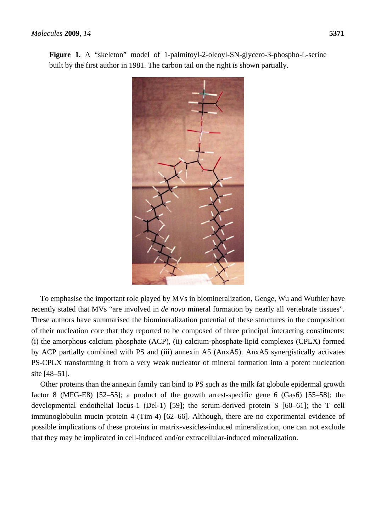**Figure 1.** A "skeleton" model of 1-palmitoyl-2-oleoyl-SN-glycero-3-phospho-L-serine built by the first author in 1981. The carbon tail on the right is shown partially.

To emphasise the important role played by MVs in biomineralization, Genge, Wu and Wuthier have recently stated that MVs "are involved in *de novo* mineral formation by nearly all vertebrate tissues". These authors have summarised the biomineralization potential of these structures in the composition of their nucleation core that they reported to be composed of three principal interacting constituents: (i) the amorphous calcium phosphate (ACP), (ii) calcium-phosphate-lipid complexes (CPLX) formed by ACP partially combined with PS and (iii) annexin A5 (AnxA5). AnxA5 synergistically activates PS-CPLX transforming it from a very weak nucleator of mineral formation into a potent nucleation site [48–51].

Other proteins than the annexin family can bind to PS such as the milk fat globule epidermal growth factor 8 (MFG-E8) [52–55]; a product of the growth arrest-specific gene 6 (Gas6) [55–58]; the developmental endothelial locus-1 (Del-1) [59]; the serum-derived protein S [60–61]; the T cell immunoglobulin mucin protein 4 (Tim-4) [62–66]. Although, there are no experimental evidence of possible implications of these proteins in matrix-vesicles-induced mineralization, one can not exclude that they may be implicated in cell-induced and/or extracellular-induced mineralization.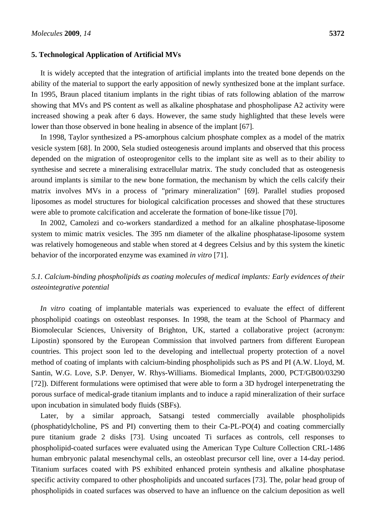## **5. Technological Application of Artificial MVs**

It is widely accepted that the integration of artificial implants into the treated bone depends on the ability of the material to support the early apposition of newly synthesized bone at the implant surface. In 1995, Braun placed titanium implants in the right tibias of rats following ablation of the marrow showing that MVs and PS content as well as alkaline phosphatase and phospholipase A2 activity were increased showing a peak after 6 days. However, the same study highlighted that these levels were lower than those observed in bone healing in absence of the implant [67].

In 1998, Taylor synthesized a PS-amorphous calcium phosphate complex as a model of the matrix vesicle system [68]. In 2000, Sela studied osteogenesis around implants and observed that this process depended on the migration of osteoprogenitor cells to the implant site as well as to their ability to synthesise and secrete a mineralising extracellular matrix. The study concluded that as osteogenesis around implants is similar to the new bone formation, the mechanism by which the cells calcify their matrix involves MVs in a process of "primary mineralization" [69]. Parallel studies proposed liposomes as model structures for biological calcification processes and showed that these structures were able to promote calcification and accelerate the formation of bone-like tissue [70].

In 2002, Camolezi and co-workers standardized a method for an alkaline phosphatase-liposome system to mimic matrix vesicles. The 395 nm diameter of the alkaline phosphatase-liposome system was relatively homogeneous and stable when stored at 4 degrees Celsius and by this system the kinetic behavior of the incorporated enzyme was examined *in vitro* [71].

# *5.1. Calcium-binding phospholipids as coating molecules of medical implants: Early evidences of their osteointegrative potential*

*In vitro* coating of implantable materials was experienced to evaluate the effect of different phospholipid coatings on osteoblast responses. In 1998, the team at the School of Pharmacy and Biomolecular Sciences, University of Brighton, UK, started a collaborative project (acronym: Lipostin) sponsored by the European Commission that involved partners from different European countries. This project soon led to the developing and intellectual property protection of a novel method of coating of implants with calcium-binding phospholipids such as PS and PI (A.W. Lloyd, M. Santin, W.G. Love, S.P. Denyer, W. Rhys-Williams. Biomedical Implants, 2000, PCT/GB00/03290 [72]). Different formulations were optimised that were able to form a 3D hydrogel interpenetrating the porous surface of medical-grade titanium implants and to induce a rapid mineralization of their surface upon incubation in simulated body fluids (SBFs).

Later, by a similar approach, Satsangi tested commercially available phospholipids (phosphatidylcholine, PS and PI) converting them to their Ca-PL-PO(4) and coating commercially pure titanium grade 2 disks [73]. Using uncoated Ti surfaces as controls, cell responses to phospholipid-coated surfaces were evaluated using the American Type Culture Collection CRL-1486 human embryonic palatal mesenchymal cells, an osteoblast precursor cell line, over a 14-day period. Titanium surfaces coated with PS exhibited enhanced protein synthesis and alkaline phosphatase specific activity compared to other phospholipids and uncoated surfaces [73]. The, polar head group of phospholipids in coated surfaces was observed to have an influence on the calcium deposition as well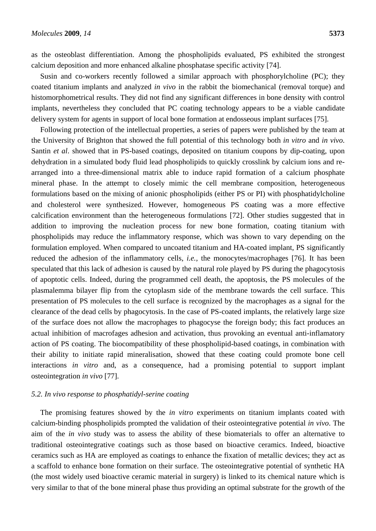as the osteoblast differentiation. Among the phospholipids evaluated, PS exhibited the strongest calcium deposition and more enhanced alkaline phosphatase specific activity [74].

Susin and co-workers recently followed a similar approach with phosphorylcholine (PC); they coated titanium implants and analyzed *in vivo* in the rabbit the biomechanical (removal torque) and histomorphometrical results. They did not find any significant differences in bone density with control implants, nevertheless they concluded that PC coating technology appears to be a viable candidate delivery system for agents in support of local bone formation at endosseous implant surfaces [75].

Following protection of the intellectual properties, a series of papers were published by the team at the University of Brighton that showed the full potential of this technology both *in vitro* and *in vivo*. Santin *et al*. showed that in PS-based coatings, deposited on titanium coupons by dip-coating, upon dehydration in a simulated body fluid lead phospholipids to quickly crosslink by calcium ions and rearranged into a three-dimensional matrix able to induce rapid formation of a calcium phosphate mineral phase. In the attempt to closely mimic the cell membrane composition, heterogeneous formulations based on the mixing of anionic phospholipids (either PS or PI) with phosphatidylcholine and cholesterol were synthesized. However, homogeneous PS coating was a more effective calcification environment than the heterogeneous formulations [72]. Other studies suggested that in addition to improving the nucleation process for new bone formation, coating titanium with phospholipids may reduce the inflammatory response, which was shown to vary depending on the formulation employed. When compared to uncoated titanium and HA-coated implant, PS significantly reduced the adhesion of the inflammatory cells, *i.e.,* the monocytes/macrophages [76]. It has been speculated that this lack of adhesion is caused by the natural role played by PS during the phagocytosis of apoptotic cells. Indeed, during the programmed cell death, the apoptosis, the PS molecules of the plasmalemma bilayer flip from the cytoplasm side of the membrane towards the cell surface. This presentation of PS molecules to the cell surface is recognized by the macrophages as a signal for the clearance of the dead cells by phagocytosis. In the case of PS-coated implants, the relatively large size of the surface does not allow the macrophages to phagocyse the foreign body; this fact produces an actual inhibition of macrofages adhesion and activation, thus provoking an eventual anti-inflamatory action of PS coating. The biocompatibility of these phospholipid-based coatings, in combination with their ability to initiate rapid mineralisation, showed that these coating could promote bone cell interactions *in vitro* and, as a consequence, had a promising potential to support implant osteointegration *in vivo* [77].

# *5.2. In vivo response to phosphatidyl-serine coating*

The promising features showed by the *in vitro* experiments on titanium implants coated with calcium-binding phospholipids prompted the validation of their osteointegrative potential *in vivo*. The aim of the *in vivo* study was to assess the ability of these biomaterials to offer an alternative to traditional osteointegrative coatings such as those based on bioactive ceramics. Indeed, bioactive ceramics such as HA are employed as coatings to enhance the fixation of metallic devices; they act as a scaffold to enhance bone formation on their surface. The osteointegrative potential of synthetic HA (the most widely used bioactive ceramic material in surgery) is linked to its chemical nature which is very similar to that of the bone mineral phase thus providing an optimal substrate for the growth of the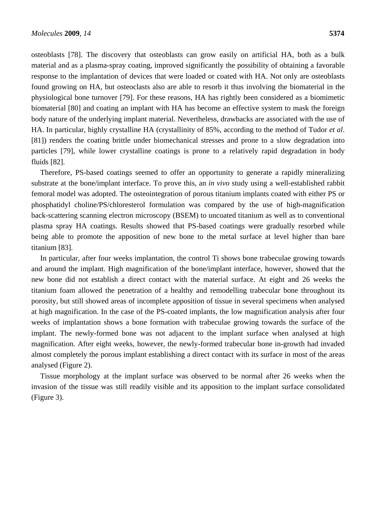osteoblasts [78]. The discovery that osteoblasts can grow easily on artificial HA, both as a bulk material and as a plasma-spray coating, improved significantly the possibility of obtaining a favorable response to the implantation of devices that were loaded or coated with HA. Not only are osteoblasts found growing on HA, but osteoclasts also are able to resorb it thus involving the biomaterial in the physiological bone turnover [79]. For these reasons, HA has rightly been considered as a biomimetic biomaterial [80] and coating an implant with HA has become an effective system to mask the foreign body nature of the underlying implant material. Nevertheless, drawbacks are associated with the use of HA. In particular, highly crystalline HA (crystallinity of 85%, according to the method of Tudor *et al*. [81]) renders the coating brittle under biomechanical stresses and prone to a slow degradation into particles [79], while lower crystalline coatings is prone to a relatively rapid degradation in body fluids [82].

Therefore, PS-based coatings seemed to offer an opportunity to generate a rapidly mineralizing substrate at the bone/implant interface. To prove this, an *in vivo* study using a well-established rabbit femoral model was adopted. The osteointegration of porous titanium implants coated with either PS or phosphatidyl choline/PS/chloresterol formulation was compared by the use of high-magnification back-scattering scanning electron microscopy (BSEM) to uncoated titanium as well as to conventional plasma spray HA coatings. Results showed that PS-based coatings were gradually resorbed while being able to promote the apposition of new bone to the metal surface at level higher than bare titanium [83].

In particular, after four weeks implantation, the control Ti shows bone trabeculae growing towards and around the implant. High magnification of the bone/implant interface, however, showed that the new bone did not establish a direct contact with the material surface. At eight and 26 weeks the titanium foam allowed the penetration of a healthy and remodelling trabecular bone throughout its porosity, but still showed areas of incomplete apposition of tissue in several specimens when analysed at high magnification. In the case of the PS-coated implants, the low magnification analysis after four weeks of implantation shows a bone formation with trabeculae growing towards the surface of the implant. The newly-formed bone was not adjacent to the implant surface when analysed at high magnification. After eight weeks, however, the newly-formed trabecular bone in-growth had invaded almost completely the porous implant establishing a direct contact with its surface in most of the areas analysed (Figure 2).

Tissue morphology at the implant surface was observed to be normal after 26 weeks when the invasion of the tissue was still readily visible and its apposition to the implant surface consolidated (Figure 3).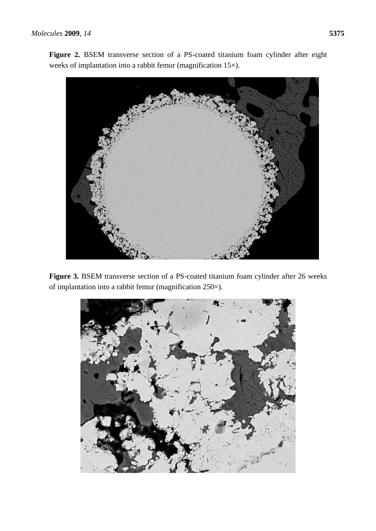Figure 2. BSEM transverse section of a PS-coated titanium foam cylinder after eight weeks of implantation into a rabbit femur (magnification 15×).



Figure 3. BSEM transverse section of a PS-coated titanium foam cylinder after 26 weeks of implantation into a rabbit femur (magnification 250×).

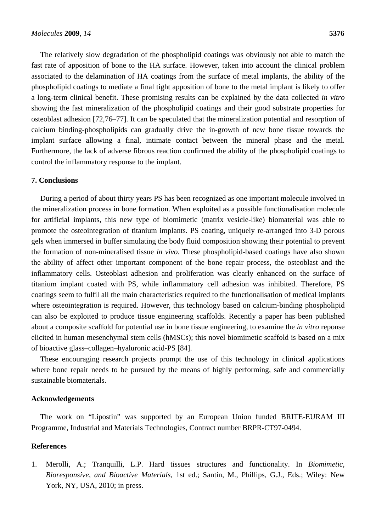The relatively slow degradation of the phospholipid coatings was obviously not able to match the fast rate of apposition of bone to the HA surface. However, taken into account the clinical problem associated to the delamination of HA coatings from the surface of metal implants, the ability of the phospholipid coatings to mediate a final tight apposition of bone to the metal implant is likely to offer a long-term clinical benefit. These promising results can be explained by the data collected *in vitro* showing the fast mineralization of the phospholipid coatings and their good substrate properties for osteoblast adhesion [72,76–77]. It can be speculated that the mineralization potential and resorption of calcium binding-phospholipids can gradually drive the in-growth of new bone tissue towards the implant surface allowing a final, intimate contact between the mineral phase and the metal. Furthermore, the lack of adverse fibrous reaction confirmed the ability of the phospholipid coatings to control the inflammatory response to the implant.

## **7. Conclusions**

During a period of about thirty years PS has been recognized as one important molecule involved in the mineralization process in bone formation. When exploited as a possible functionalisation molecule for artificial implants, this new type of biomimetic (matrix vesicle-like) biomaterial was able to promote the osteointegration of titanium implants. PS coating, uniquely re-arranged into 3-D porous gels when immersed in buffer simulating the body fluid composition showing their potential to prevent the formation of non-mineralised tissue *in vivo*. These phospholipid-based coatings have also shown the ability of affect other important component of the bone repair process, the osteoblast and the inflammatory cells. Osteoblast adhesion and proliferation was clearly enhanced on the surface of titanium implant coated with PS, while inflammatory cell adhesion was inhibited. Therefore, PS coatings seem to fulfil all the main characteristics required to the functionalisation of medical implants where osteointegration is required. However, this technology based on calcium-binding phospholipid can also be exploited to produce tissue engineering scaffolds. Recently a paper has been published about a composite scaffold for potential use in bone tissue engineering, to examine the *in vitro* reponse elicited in human mesenchymal stem cells (hMSCs); this novel biomimetic scaffold is based on a mix of bioactive glass–collagen–hyaluronic acid-PS [84].

These encouraging research projects prompt the use of this technology in clinical applications where bone repair needs to be pursued by the means of highly performing, safe and commercially sustainable biomaterials.

# **Acknowledgements**

The work on "Lipostin" was supported by an European Union funded BRITE-EURAM III Programme, Industrial and Materials Technologies, Contract number BRPR-CT97-0494.

#### **References**

1. Merolli, A.; Tranquilli, L.P. Hard tissues structures and functionality. In *Biomimetic*, *Bioresponsive*, *and Bioactive Materials*, 1st ed.; Santin, M., Phillips, G.J., Eds.; Wiley: New York, NY, USA, 2010; in press.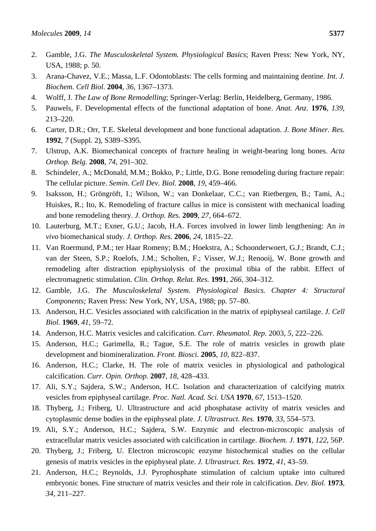- 2. Gamble, J.G. *The Musculoskeletal System. Physiological Basics*; Raven Press: New York, NY, USA, 1988; p. 50.
- 3. Arana-Chavez, V.E.; Massa, L.F. Odontoblasts: The cells forming and maintaining dentine. *Int. J. Biochem. Cell Biol.* **2004**, *36*, 1367–1373.
- 4. Wolff, J. *The Law of Bone Remodelling*; Springer-Verlag: Berlin, Heidelberg, Germany, 1986.
- 5. Pauwels, F. Developmental effects of the functional adaptation of bone. *Anat. Anz.* **1976**, *139*, 213–220.
- 6. Carter, D.R.; Orr, T.E. Skeletal development and bone functional adaptation. *J. Bone Miner. Res.* **1992**, *7* (Suppl. 2), S389–S395.
- 7. Ulstrup, A.K. Biomechanical concepts of fracture healing in weight-bearing long bones. *Acta Orthop. Belg.* **2008**, *74*, 291–302.
- 8. Schindeler, A.; McDonald, M.M.; Bokko, P.; Little, D.G. Bone remodeling during fracture repair: The cellular picture. *Semin. Cell Dev. Biol.* **2008**, *19*, 459–466.
- 9. Isaksson, H.; Gröngröft, I.; Wilson, W.; van Donkelaar, C.C.; van Rietbergen, B.; Tami, A.; Huiskes, R.; Ito, K. Remodeling of fracture callus in mice is consistent with mechanical loading and bone remodeling theory. *J. Orthop. Res.* **2009**, *27*, 664–672.
- 10. Lauterburg, M.T.; Exner, G.U.; Jacob, H.A. Forces involved in lower limb lengthening: An *in vivo* biomechanical study. *J. Orthop. Res.* **2006**, *24*, 1815–22.
- 11. Van Roermund, P.M.; ter Haar Romeny; B.M.; Hoekstra, A.; Schoonderwoert, G.J.; Brandt, C.J.; van der Steen, S.P.; Roelofs, J.M.; Scholten, F.; Visser, W.J.; Renooij, W. Bone growth and remodeling after distraction epiphysiolysis of the proximal tibia of the rabbit. Effect of electromagnetic stimulation. *Clin. Orthop. Relat. Res.* **1991**, *266*, 304–312.
- 12. Gamble, J.G. *The Musculoskeletal System. Physiological Basics. Chapter 4: Structural Components;* Raven Press: New York, NY, USA, 1988; pp. 57–80.
- 13. Anderson, H.C. Vesicles associated with calcification in the matrix of epiphyseal cartilage. *J. Cell Biol.* **1969**, *41*, 59–72.
- 14. Anderson, H.C. Matrix vesicles and calcification. *Curr. Rheumatol. Rep.* 2003, *5*, 222–226.
- 15. Anderson, H.C.; Garimella, R.; Tague, S.E. The role of matrix vesicles in growth plate development and biomineralization. *Front. Biosci.* **2005**, *10*, 822–837.
- 16. Anderson, H.C.; Clarke, H. The role of matrix vesicles in physiological and pathological calcification. *Curr. Opin. Orthop.* **2007**, *18*, 428–433.
- 17. Ali, S.Y.; Sajdera, S.W.; Anderson, H.C. Isolation and characterization of calcifying matrix vesicles from epiphyseal cartilage. *Proc. Natl. Acad. Sci. USA* **1970**, *67*, 1513–1520.
- 18. Thyberg, J.; Friberg, U. Ultrastructure and acid phosphatase activity of matrix vesicles and cytoplasmic dense bodies in the epiphyseal plate. *J. Ultrastruct. Res.* **1970**, *33*, 554–573.
- 19. Ali, S.Y.; Anderson, H.C.; Sajdera, S.W. Enzymic and electron-microscopic analysis of extracellular matrix vesicles associated with calcification in cartilage. *Biochem. J.* **1971**, *122*, 56P.
- 20. Thyberg, J.; Friberg, U. Electron microscopic enzyme histochemical studies on the cellular genesis of matrix vesicles in the epiphyseal plate. *J. Ultrastruct. Res.* **1972**, *41*, 43–59.
- 21. Anderson, H.C.; Reynolds, J.J. Pyrophosphate stimulation of calcium uptake into cultured embryonic bones. Fine structure of matrix vesicles and their role in calcification. *Dev. Biol.* **1973**, *34*, 211–227.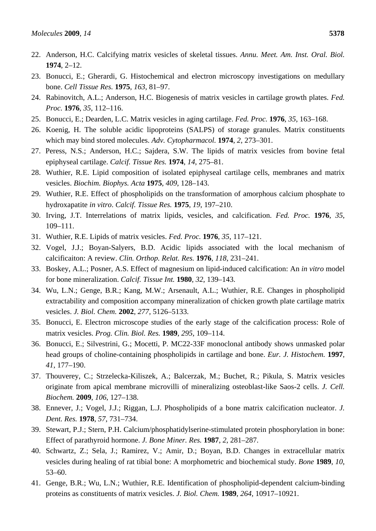- 22. Anderson, H.C. Calcifying matrix vesicles of skeletal tissues. *Annu. Meet. Am. Inst. Oral. Biol.* **1974**, 2–12.
- 23. Bonucci, E.; Gherardi, G. Histochemical and electron microscopy investigations on medullary bone. *Cell Tissue Res.* **1975**, *163*, 81–97.
- 24. Rabinovitch, A.L.; Anderson, H.C. Biogenesis of matrix vesicles in cartilage growth plates. *Fed. Proc.* **1976**, *35*, 112–116.
- 25. Bonucci, E.; Dearden, L.C. Matrix vesicles in aging cartilage. *Fed. Proc.* **1976**, *35*, 163–168.
- 26. Koenig, H. The soluble acidic lipoproteins (SALPS) of storage granules. Matrix constituents which may bind stored molecules. *Adv. Cytopharmacol.* **1974**, *2*, 273–301.
- 27. Peress, N.S.; Anderson, H.C.; Sajdera, S.W. The lipids of matrix vesicles from bovine fetal epiphyseal cartilage. *Calcif. Tissue Res.* **1974**, *14*, 275–81.
- 28. Wuthier, R.E. Lipid composition of isolated epiphyseal cartilage cells, membranes and matrix vesicles. *Biochim. Biophys. Acta* **1975**, *409*, 128–143.
- 29. Wuthier, R.E. Effect of phospholipids on the transformation of amorphous calcium phosphate to hydroxapatite *in vitro*. *Calcif. Tissue Res.* **1975**, *19*, 197–210.
- 30. Irving, J.T. Interrelations of matrix lipids, vesicles, and calcification. *Fed. Proc.* **1976**, *35*, 109–111.
- 31. Wuthier, R.E. Lipids of matrix vesicles. *Fed. Proc.* **1976**, *35*, 117–121.
- 32. Vogel, J.J.; Boyan-Salyers, B.D. Acidic lipids associated with the local mechanism of calcificaiton: A review. *Clin. Orthop. Relat. Res.* **1976**, *118*, 231–241.
- 33. Boskey, A.L.; Posner, A.S. Effect of magnesium on lipid-induced calcification: An *in vitro* model for bone mineralization. *Calcif. Tissue Int.* **1980**, *32*, 139–143.
- 34. Wu, L.N.; Genge, B.R.; Kang, M.W.; Arsenault, A.L.; Wuthier, R.E. Changes in phospholipid extractability and composition accompany mineralization of chicken growth plate cartilage matrix vesicles. *J. Biol. Chem.* **2002**, *277*, 5126–5133.
- 35. Bonucci, E. Electron microscope studies of the early stage of the calcification process: Role of matrix vesicles. *Prog. Clin. Biol. Res.* **1989**, *295*, 109–114.
- 36. Bonucci, E.; Silvestrini, G.; Mocetti, P. MC22-33F monoclonal antibody shows unmasked polar head groups of choline-containing phospholipids in cartilage and bone. *Eur. J. Histochem.* **1997**, *41*, 177–190.
- 37. Thouverey, C.; Strzelecka-Kiliszek, A.; Balcerzak, M.; Buchet, R.; Pikula, S. Matrix vesicles originate from apical membrane microvilli of mineralizing osteoblast-like Saos-2 cells. *J. Cell. Biochem.* **2009**, *106*, 127–138.
- 38. Ennever, J.; Vogel, J.J.; Riggan, L.J. Phospholipids of a bone matrix calcification nucleator. *J. Dent. Res.* **1978**, *57*, 731–734.
- 39. Stewart, P.J.; Stern, P.H. Calcium/phosphatidylserine-stimulated protein phosphorylation in bone: Effect of parathyroid hormone. *J. Bone Miner. Res.* **1987**, *2*, 281–287.
- 40. Schwartz, Z.; Sela, J.; Ramirez, V.; Amir, D.; Boyan, B.D. Changes in extracellular matrix vesicles during healing of rat tibial bone: A morphometric and biochemical study. *Bone* **1989**, *10*, 53–60.
- 41. Genge, B.R.; Wu, L.N.; Wuthier, R.E. Identification of phospholipid-dependent calcium-binding proteins as constituents of matrix vesicles. *J. Biol. Chem.* **1989**, *264*, 10917–10921.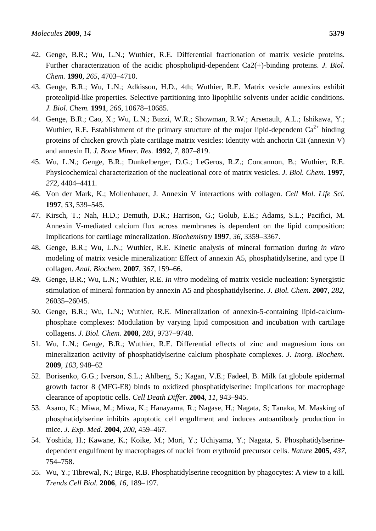- 42. Genge, B.R.; Wu, L.N.; Wuthier, R.E. Differential fractionation of matrix vesicle proteins. Further characterization of the acidic phospholipid-dependent Ca2(+)-binding proteins. *J. Biol. Chem.* **1990**, *265*, 4703–4710.
- 43. Genge, B.R.; Wu, L.N.; Adkisson, H.D., 4th; Wuthier, R.E. Matrix vesicle annexins exhibit proteolipid-like properties. Selective partitioning into lipophilic solvents under acidic conditions. *J. Biol. Chem.* **1991**, *266*, 10678–10685.
- 44. Genge, B.R.; Cao, X.; Wu, L.N.; Buzzi, W.R.; Showman, R.W.; Arsenault, A.L.; Ishikawa, Y.; Wuthier, R.E. Establishment of the primary structure of the major lipid-dependent  $Ca^{2+}$  binding proteins of chicken growth plate cartilage matrix vesicles: Identity with anchorin CII (annexin V) and annexin II. *J. Bone Miner. Res.* **1992**, *7*, 807–819.
- 45. Wu, L.N.; Genge, B.R.; Dunkelberger, D.G.; LeGeros, R.Z.; Concannon, B.; Wuthier, R.E. Physicochemical characterization of the nucleational core of matrix vesicles. *J. Biol. Chem.* **1997**, *272*, 4404–4411.
- 46. Von der Mark, K.; Mollenhauer, J. Annexin V interactions with collagen. *Cell Mol. Life Sci.* **1997**, *53*, 539–545.
- 47. Kirsch, T.; Nah, H.D.; Demuth, D.R.; Harrison, G.; Golub, E.E.; Adams, S.L.; Pacifici, M. Annexin V-mediated calcium flux across membranes is dependent on the lipid composition: Implications for cartilage mineralization. *Biochemistry* **1997**, *36*, 3359–3367.
- 48. Genge, B.R.; Wu, L.N.; Wuthier, R.E. Kinetic analysis of mineral formation during *in vitro* modeling of matrix vesicle mineralization: Effect of annexin A5, phosphatidylserine, and type II collagen. *Anal. Biochem.* **2007**, *367*, 159–66.
- 49. Genge, B.R.; Wu, L.N.; Wuthier, R.E. *In vitro* modeling of matrix vesicle nucleation: Synergistic stimulation of mineral formation by annexin A5 and phosphatidylserine. *J. Biol. Chem.* **2007**, *282*, 26035–26045.
- 50. Genge, B.R.; Wu, L.N.; Wuthier, R.E. Mineralization of annexin-5-containing lipid-calciumphosphate complexes: Modulation by varying lipid composition and incubation with cartilage collagens. *J. Biol. Chem.* **2008**, *283*, 9737–9748.
- 51. Wu, L.N.; Genge, B.R.; Wuthier, R.E. Differential effects of zinc and magnesium ions on mineralization activity of phosphatidylserine calcium phosphate complexes. *J. Inorg. Biochem.* **2009**, *103*, 948–62
- 52. Borisenko, G.G.; Iverson, S.L.; Ahlberg, S.; Kagan, V.E.; Fadeel, B. Milk fat globule epidermal growth factor 8 (MFG-E8) binds to oxidized phosphatidylserine: Implications for macrophage clearance of apoptotic cells*. Cell Death Differ.* **2004**, *11*, 943–945.
- 53. Asano, K.; Miwa, M.; Miwa, K.; Hanayama, R.; Nagase, H.; Nagata, S; Tanaka, M. Masking of phosphatidylserine inhibits apoptotic cell engulfment and induces autoantibody production in mice. *J. Exp. Med.* **2004**, *200*, 459–467.
- 54. Yoshida, H.; Kawane, K.; Koike, M.; Mori, Y.; Uchiyama, Y.; Nagata, S. Phosphatidylserinedependent engulfment by macrophages of nuclei from erythroid precursor cells. *Nature* **2005**, *437*, 754–758.
- 55. Wu, Y.; Tibrewal, N.; Birge, R.B. Phosphatidylserine recognition by phagocytes: A view to a kill. *Trends Cell Biol.* **2006**, *16*, 189–197.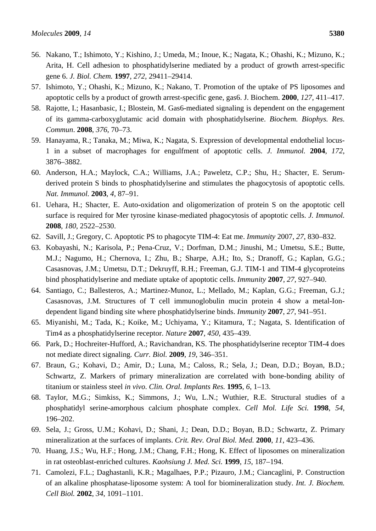- 56. Nakano, T.; Ishimoto, Y.; Kishino, J.; Umeda, M.; Inoue, K.; Nagata, K.; Ohashi, K.; Mizuno, K.; Arita, H. Cell adhesion to phosphatidylserine mediated by a product of growth arrest-specific gene 6. *J. Biol. Chem.* **1997**, *272*, 29411–29414.
- 57. Ishimoto, Y.; Ohashi, K.; Mizuno, K.; Nakano, T. Promotion of the uptake of PS liposomes and apoptotic cells by a product of growth arrest-specific gene, gas6. J. Biochem. **2000**, *127*, 411–417.
- 58. Rajotte, I.; Hasanbasic, I.; Blostein, M. Gas6-mediated signaling is dependent on the engagement of its gamma-carboxyglutamic acid domain with phosphatidylserine. *Biochem. Biophys. Res. Commun*. **2008**, *376*, 70–73.
- 59. Hanayama, R.; Tanaka, M.; Miwa, K.; Nagata, S. Expression of developmental endothelial locus-1 in a subset of macrophages for engulfment of apoptotic cells. *J. Immunol.* **2004**, *172*, 3876–3882.
- 60. Anderson, H.A.; Maylock, C.A.; Williams, J.A.; Paweletz, C.P.; Shu, H.; Shacter, E. Serumderived protein S binds to phosphatidylserine and stimulates the phagocytosis of apoptotic cells. *Nat. Immunol.* **2003**, *4*, 87–91.
- 61. Uehara, H.; Shacter, E. Auto-oxidation and oligomerization of protein S on the apoptotic cell surface is required for Mer tyrosine kinase-mediated phagocytosis of apoptotic cells. *J. Immunol.* **2008**, *180*, 2522–2530.
- 62. Savill, J.; Gregory, C. Apoptotic PS to phagocyte TIM-4: Eat me. *Immunity* 2007, *27*, 830–832.
- 63. Kobayashi, N.; Karisola, P.; Pena-Cruz, V.; Dorfman, D.M.; Jinushi, M.; Umetsu, S.E.; Butte, M.J.; Nagumo, H.; Chernova, I.; Zhu, B.; Sharpe, A.H.; Ito, S.; Dranoff, G.; Kaplan, G.G.; Casasnovas, J.M.; Umetsu, D.T.; Dekruyff, R.H.; Freeman, G.J. TIM-1 and TIM-4 glycoproteins bind phosphatidylserine and mediate uptake of apoptotic cells. *Immunity* **2007**, *27*, 927–940.
- 64. Santiago, C.; Ballesteros, A.; Martinez-Munoz, L.; Mellado, M.; Kaplan, G.G.; Freeman, G.J.; Casasnovas, J.M. Structures of T cell immunoglobulin mucin protein 4 show a metal-Iondependent ligand binding site where phosphatidylserine binds. *Immunity* **2007**, *27*, 941–951.
- 65. Miyanishi, M.; Tada, K.; Koike, M.; Uchiyama, Y.; Kitamura, T.; Nagata, S. Identification of Tim4 as a phosphatidylserine receptor. *Nature* **2007**, *450*, 435–439.
- 66. Park, D.; Hochreiter-Hufford, A.; Ravichandran, KS. The phosphatidylserine receptor TIM-4 does not mediate direct signaling*. Curr. Biol.* **2009**, *19*, 346–351.
- 67. Braun, G.; Kohavi, D.; Amir, D.; Luna, M.; Caloss, R.; Sela, J.; Dean, D.D.; Boyan, B.D.; Schwartz, Z. Markers of primary mineralization are correlated with bone-bonding ability of titanium or stainless steel *in vivo*. *Clin. Oral. Implants Res.* **1995**, *6*, 1–13.
- 68. Taylor, M.G.; Simkiss, K.; Simmons, J.; Wu, L.N.; Wuthier, R.E. Structural studies of a phosphatidyl serine-amorphous calcium phosphate complex. *Cell Mol. Life Sci.* **1998**, *54*, 196–202.
- 69. Sela, J.; Gross, U.M.; Kohavi, D.; Shani, J.; Dean, D.D.; Boyan, B.D.; Schwartz, Z. Primary mineralization at the surfaces of implants. *Crit. Rev. Oral Biol. Med.* **2000**, *11*, 423–436.
- 70. Huang, J.S.; Wu, H.F.; Hong, J.M.; Chang, F.H.; Hong, K. Effect of liposomes on mineralization in rat osteoblast-enriched cultures. *Kaohsiung J. Med. Sci.* **1999**, *15*, 187–194.
- 71. Camolezi, F.L.; Daghastanli, K.R.; Magalhaes, P.P.; Pizauro, J.M.; Ciancaglini, P. Construction of an alkaline phosphatase-liposome system: A tool for biomineralization study. *Int. J. Biochem. Cell Biol.* **2002**, *34*, 1091–1101.